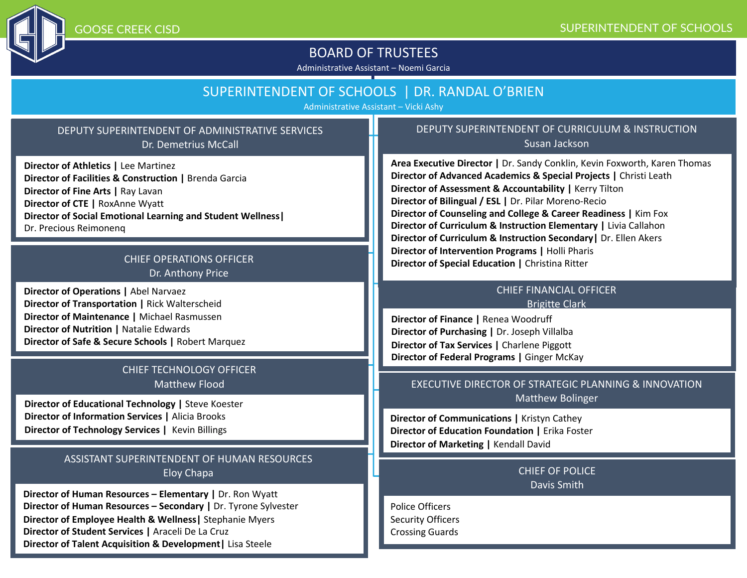

GOOSE CREEK CISD

## BOARD OF TRUSTEES

Administrative Assistant – Noemi Garcia

## SUPERINTENDENT OF SCHOOLS | DR. RANDAL O'BRIEN

Administrative Assistant – Vicki Ashy

### DEPUTY SUPERINTENDENT OF ADMINISTRATIVE SERVICES Dr. Demetrius McCall

**Director of Athletics |** Lee Martinez **Director of Facilities & Construction |** Brenda Garcia **Director of Fine Arts |** Ray Lavan **Director of CTE |** RoxAnne Wyatt **Director of Social Emotional Learning and Student Wellness|** Dr. Precious Reimonenq

### CHIEF OPERATIONS OFFICER Dr. Anthony Price

**Director of Operations |** Abel Narvaez **Director of Transportation |** Rick Walterscheid **Director of Maintenance |** Michael Rasmussen **Director of Nutrition |** Natalie Edwards **Director of Safe & Secure Schools |** Robert Marquez

### CHIEF TECHNOLOGY OFFICER Matthew Flood

**Director of Educational Technology |** Steve Koester **Director of Information Services |** Alicia Brooks **Director of Technology Services |** Kevin Billings

### ASSISTANT SUPERINTENDENT OF HUMAN RESOURCES Eloy Chapa

**Director of Human Resources – Elementary |** Dr. Ron Wyatt **Director of Human Resources – Secondary |** Dr. Tyrone Sylvester **Director of Employee Health & Wellness|** Stephanie Myers **Director of Student Services |** Araceli De La Cruz **Director of Talent Acquisition & Development|** Lisa Steele

#### DEPUTY SUPERINTENDENT OF CURRICULUM & INSTRUCTION Susan Jackson

**Area Executive Director |** Dr. Sandy Conklin, Kevin Foxworth, Karen Thomas **Director of Advanced Academics & Special Projects |** Christi Leath **Director of Assessment & Accountability |** Kerry Tilton **Director of Bilingual / ESL |** Dr. Pilar Moreno-Recio **Director of Counseling and College & Career Readiness |** Kim Fox **Director of Curriculum & Instruction Elementary |** Livia Callahon **Director of Curriculum & Instruction Secondary|** Dr. Ellen Akers **Director of Intervention Programs |** Holli Pharis **Director of Special Education | Christina Ritter** 

#### CHIEF FINANCIAL OFFICER Brigitte Clark

**Director of Finance |** Renea Woodruff **Director of Purchasing |** Dr. Joseph Villalba **Director of Tax Services |** Charlene Piggott **Director of Federal Programs |** Ginger McKay

### EXECUTIVE DIRECTOR OF STRATEGIC PLANNING & INNOVATION Matthew Bolinger

**Director of Communications |** Kristyn Cathey **Director of Education Foundation |** Erika Foster **Director of Marketing |** Kendall David

### CHIEF OF POLICE Davis Smith

Police Officers Security Officers Crossing Guards

### SUPERINTENDENT OF SCHOOLS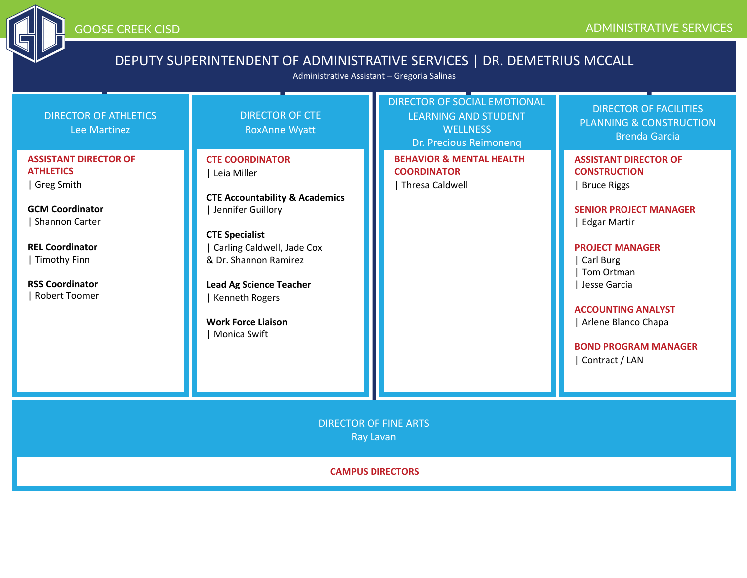

# DEPUTY SUPERINTENDENT OF ADMINISTRATIVE SERVICES | DR. DEMETRIUS MCCALL

Administrative Assistant – Gregoria Salinas

| Lee Martinez<br><b>RoxAnne Wyatt</b>                                                                                                                                                                                                                                                                                                                                                                                                                                                                             | <b>WELLNESS</b><br>Dr. Precious Reimonenq                                    | <b>PLANNING &amp; CONSTRUCTION</b><br><b>Brenda Garcia</b>                                                                                                                                                                                                                                                  |  |  |  |
|------------------------------------------------------------------------------------------------------------------------------------------------------------------------------------------------------------------------------------------------------------------------------------------------------------------------------------------------------------------------------------------------------------------------------------------------------------------------------------------------------------------|------------------------------------------------------------------------------|-------------------------------------------------------------------------------------------------------------------------------------------------------------------------------------------------------------------------------------------------------------------------------------------------------------|--|--|--|
| <b>ASSISTANT DIRECTOR OF</b><br><b>CTE COORDINATOR</b><br><b>ATHLETICS</b><br>Leia Miller<br>Greg Smith<br><b>CTE Accountability &amp; Academics</b><br><b>GCM Coordinator</b><br>Jennifer Guillory<br><b>Shannon Carter</b><br><b>CTE Specialist</b><br><b>REL Coordinator</b><br>Carling Caldwell, Jade Cox<br><b>Timothy Finn</b><br>& Dr. Shannon Ramirez<br><b>RSS Coordinator</b><br><b>Lead Ag Science Teacher</b><br><b>Robert Toomer</b><br>Kenneth Rogers<br><b>Work Force Liaison</b><br>Monica Swift | <b>BEHAVIOR &amp; MENTAL HEALTH</b><br><b>COORDINATOR</b><br>Thresa Caldwell | <b>ASSISTANT DIRECTOR OF</b><br><b>CONSTRUCTION</b><br><b>Bruce Riggs</b><br><b>SENIOR PROJECT MANAGER</b><br><b>Edgar Martir</b><br><b>PROJECT MANAGER</b><br>Carl Burg<br>Tom Ortman<br>Jesse Garcia<br><b>ACCOUNTING ANALYST</b><br>Arlene Blanco Chapa<br><b>BOND PROGRAM MANAGER</b><br>Contract / LAN |  |  |  |
| <b>DIRECTOR OF FINE ARTS</b><br><b>Ray Lavan</b>                                                                                                                                                                                                                                                                                                                                                                                                                                                                 |                                                                              |                                                                                                                                                                                                                                                                                                             |  |  |  |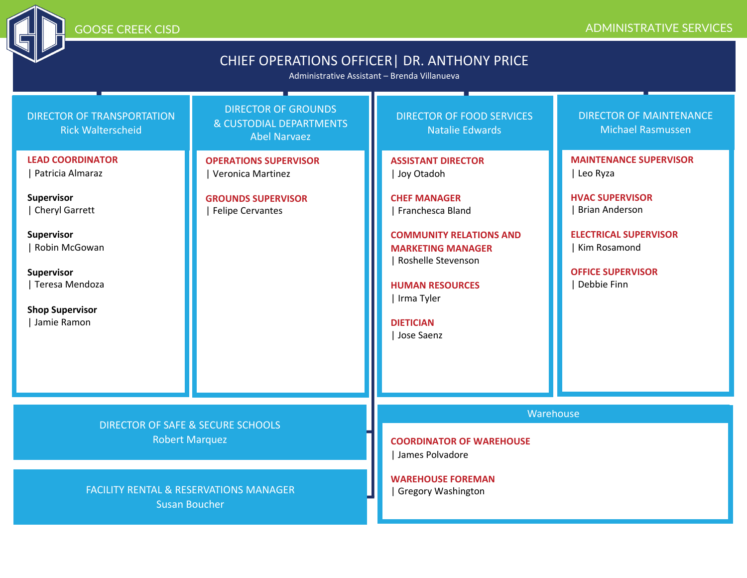## GOOSE CREEK CISD ADMINISTRATIVE SERVICES

# CHIEF OPERATIONS OFFICER| DR. ANTHONY PRICE

Administrative Assistant – Brenda Villanueva

| <b>DIRECTOR OF TRANSPORTATION</b><br><b>Rick Walterscheid</b><br><b>LEAD COORDINATOR</b><br>  Patricia Almaraz<br><b>Supervisor</b><br>  Cheryl Garrett<br>Supervisor<br>Robin McGowan<br><b>Supervisor</b> | <b>DIRECTOR OF GROUNDS</b><br>& CUSTODIAL DEPARTMENTS<br><b>Abel Narvaez</b><br><b>OPERATIONS SUPERVISOR</b><br>Veronica Martinez<br><b>GROUNDS SUPERVISOR</b><br><b>Felipe Cervantes</b> | <b>DIRECTOR OF FOOD SERVICES</b><br><b>Natalie Edwards</b><br><b>ASSISTANT DIRECTOR</b><br>Joy Otadoh<br><b>CHEF MANAGER</b><br>Franchesca Bland<br><b>COMMUNITY RELATIONS AND</b><br><b>MARKETING MANAGER</b><br>Roshelle Stevenson | <b>DIRECTOR OF MAINTENANCE</b><br><b>Michael Rasmussen</b><br><b>MAINTENANCE SUPERVISOR</b><br>Leo Ryza<br><b>HVAC SUPERVISOR</b><br><b>Brian Anderson</b><br><b>ELECTRICAL SUPERVISOR</b><br>Kim Rosamond<br><b>OFFICE SUPERVISOR</b> |  |
|-------------------------------------------------------------------------------------------------------------------------------------------------------------------------------------------------------------|-------------------------------------------------------------------------------------------------------------------------------------------------------------------------------------------|--------------------------------------------------------------------------------------------------------------------------------------------------------------------------------------------------------------------------------------|----------------------------------------------------------------------------------------------------------------------------------------------------------------------------------------------------------------------------------------|--|
| Teresa Mendoza<br><b>Shop Supervisor</b><br>Jamie Ramon                                                                                                                                                     |                                                                                                                                                                                           | <b>HUMAN RESOURCES</b><br>Irma Tyler<br><b>DIETICIAN</b><br>Jose Saenz                                                                                                                                                               | Debbie Finn                                                                                                                                                                                                                            |  |
| <b>DIRECTOR OF SAFE &amp; SECURE SCHOOLS</b><br><b>Robert Marquez</b>                                                                                                                                       |                                                                                                                                                                                           | Warehouse<br><b>COORDINATOR OF WAREHOUSE</b><br>James Polvadore                                                                                                                                                                      |                                                                                                                                                                                                                                        |  |
|                                                                                                                                                                                                             | <b>FACILITY RENTAL &amp; RESERVATIONS MANAGER</b><br><b>Susan Boucher</b>                                                                                                                 | <b>WAREHOUSE FOREMAN</b><br><b>Gregory Washington</b>                                                                                                                                                                                |                                                                                                                                                                                                                                        |  |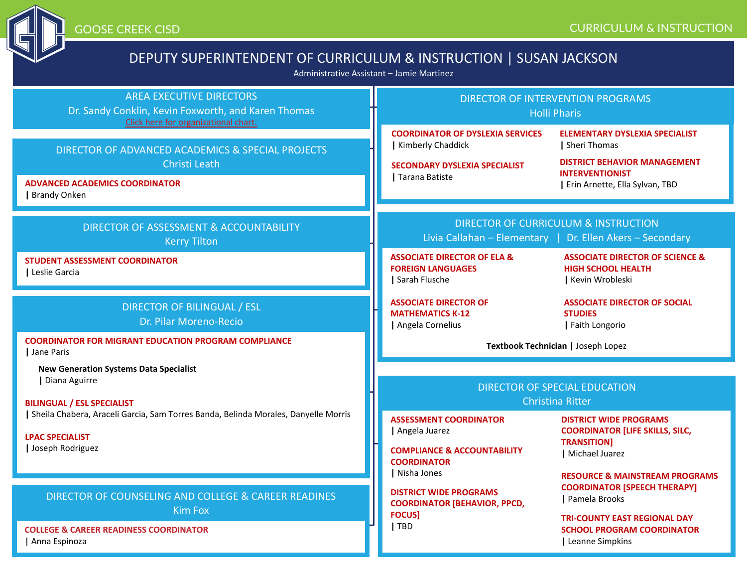

Expose CREEK CISD COOSE CREEK CISD COOSE CREEK CISD

# DEPUTY SUPERINTENDENT OF CURRICULUM & INSTRUCTION | SUSAN JA

Administrative Assistant – Jamie Martinez

| <b>AREA EXECUTIVE DIRECTORS</b><br>Dr. Sandy Conklin, Kevin Foxworth, and Karen Thomas<br>Click here for organizational chart.                                        | <b>DIRECTOR OF INTERVENT</b><br><b>Holli Phari</b>                                                                                |                                                                                |  |
|-----------------------------------------------------------------------------------------------------------------------------------------------------------------------|-----------------------------------------------------------------------------------------------------------------------------------|--------------------------------------------------------------------------------|--|
| DIRECTOR OF ADVANCED ACADEMICS & SPECIAL PROJECTS<br>Christi Leath<br><b>ADVANCED ACADEMICS COORDINATOR</b><br>  Brandy Onken                                         | <b>COORDINATOR OF DYSLEXIA SERVICES</b><br>  Kimberly Chaddick<br><b>SECONDARY DYSLEXIA SPECIALIST</b><br>  Tarana Batiste        | <b>ELEN</b><br>  She<br><b>DIST</b><br><b>INTE</b><br>$ $ Eri                  |  |
| DIRECTOR OF ASSESSMENT & ACCOUNTABILITY<br><b>Kerry Tilton</b><br><b>STUDENT ASSESSMENT COORDINATOR</b>                                                               | <b>DIRECTOR OF CURRICULUM</b><br>Livia Callahan - Elementary   Dr<br><b>ASSOCIATE DIRECTOR OF ELA &amp;</b>                       | <b>ASS</b>                                                                     |  |
| Leslie Garcia                                                                                                                                                         | <b>FOREIGN LANGUAGES</b><br>Sarah Flusche                                                                                         | <b>HIG</b><br> K                                                               |  |
| <b>DIRECTOR OF BILINGUAL / ESL</b><br>Dr. Pilar Moreno-Recio                                                                                                          | <b>ASSOCIATE DIRECTOR OF</b><br><b>MATHEMATICS K-12</b><br>  Angela Cornelius                                                     | <b>ASS</b><br><b>STL</b><br>$ F_1$                                             |  |
| <b>COORDINATOR FOR MIGRANT EDUCATION PROGRAM COMPLIANCE</b><br>Jane Paris                                                                                             | Textbook Technician                                                                                                               |                                                                                |  |
| <b>New Generation Systems Data Specialist</b><br>  Diana Aguirre                                                                                                      | <b>DIRECTOR OF SPECIAL</b>                                                                                                        |                                                                                |  |
| <b>BILINGUAL / ESL SPECIALIST</b><br>Sheila Chabera, Araceli Garcia, Sam Torres Banda, Belinda Morales, Danyelle Morris<br><b>LPAC SPECIALIST</b><br>Joseph Rodriguez | <b>ASSESSMENT COORDINATOR</b><br>  Angela Juarez<br><b>COMPLIANCE &amp; ACCOUNTABILITY</b><br><b>COORDINATOR</b><br>  Nisha Jones | <b>Christina Rit</b><br><b>DIST</b><br>cod<br><b>TRA</b><br>  Mi<br><b>RES</b> |  |
| DIRECTOR OF COUNSELING AND COLLEGE & CAREER READINES<br><b>Kim Fox</b>                                                                                                | <b>DISTRICT WIDE PROGRAMS</b><br><b>COORDINATOR [BEHAVIOR, PPCD,</b><br><b>FOCUS]</b>                                             | <b>COC</b><br>$ $ Pa                                                           |  |
| <b>COLLEGE &amp; CAREER READINESS COORDINATOR</b><br>Anna Espinoza                                                                                                    | TBD                                                                                                                               | TRI-<br><b>SCH</b><br>  Lei                                                    |  |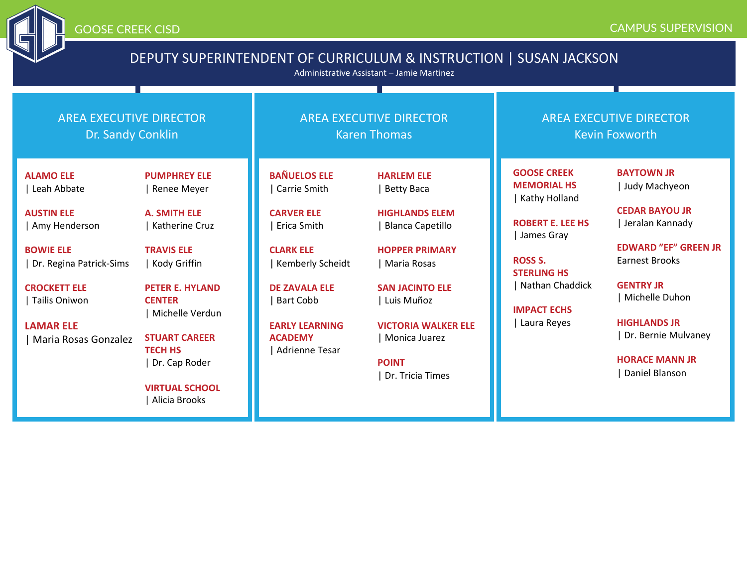

# DEPUTY SUPERINTENDENT OF CURRICULUM & INSTRUCTION | SUSAN JACKSON

Administrative Assistant – Jamie Martinez

| <b>AREA EXECUTIVE DIRECTOR</b><br>Dr. Sandy Conklin |                                        |                                  | <b>AREA EXECUTIVE DIRECTOR</b><br><b>Karen Thomas</b> | <b>AREA EXECUTIVE DIRECTOR</b><br><b>Kevin Foxworth</b> |                             |
|-----------------------------------------------------|----------------------------------------|----------------------------------|-------------------------------------------------------|---------------------------------------------------------|-----------------------------|
| <b>ALAMO ELE</b>                                    | <b>PUMPHREY ELE</b>                    | <b>BAÑUELOS ELE</b>              | <b>HARLEM ELE</b>                                     | <b>GOOSE CREEK</b><br><b>MEMORIAL HS</b>                | <b>BAYTOWN JR</b>           |
| Leah Abbate                                         | Renee Meyer                            | Carrie Smith                     | <b>Betty Baca</b>                                     | Kathy Holland                                           | Judy Machyeon               |
| <b>AUSTIN ELE</b>                                   | <b>A. SMITH ELE</b>                    | <b>CARVER ELE</b>                | <b>HIGHLANDS ELEM</b>                                 |                                                         | <b>CEDAR BAYOU JR</b>       |
| Amy Henderson                                       | <b>Katherine Cruz</b>                  | Erica Smith                      | <b>Blanca Capetillo</b>                               | <b>ROBERT E. LEE HS</b><br>James Gray                   | Jeralan Kannady             |
| <b>BOWIE ELE</b>                                    | <b>TRAVIS ELE</b>                      | <b>CLARK ELE</b>                 | <b>HOPPER PRIMARY</b>                                 |                                                         | <b>EDWARD "EF" GREEN JR</b> |
| Dr. Regina Patrick-Sims                             | Kody Griffin                           | Kemberly Scheidt                 | Maria Rosas                                           | <b>ROSS S.</b><br><b>STERLING HS</b>                    | <b>Earnest Brooks</b>       |
| <b>CROCKETT ELE</b>                                 | <b>PETER E. HYLAND</b>                 | <b>DE ZAVALA ELE</b>             | <b>SAN JACINTO ELE</b>                                | Nathan Chaddick                                         | <b>GENTRY JR</b>            |
| Tailis Oniwon                                       | <b>CENTER</b><br>Michelle Verdun       | <b>Bart Cobb</b>                 | Luis Muñoz                                            | <b>IMPACT ECHS</b>                                      | Michelle Duhon              |
| <b>LAMAR ELE</b>                                    |                                        | <b>EARLY LEARNING</b>            | <b>VICTORIA WALKER ELE</b>                            | Laura Reyes                                             | <b>HIGHLANDS JR</b>         |
| Maria Rosas Gonzalez                                | <b>STUART CAREER</b><br><b>TECH HS</b> | <b>ACADEMY</b><br>Adrienne Tesar | Monica Juarez                                         |                                                         | Dr. Bernie Mulvaney         |
|                                                     | Dr. Cap Roder                          |                                  | <b>POINT</b>                                          |                                                         | <b>HORACE MANN JR</b>       |
|                                                     |                                        |                                  | Dr. Tricia Times                                      |                                                         | Daniel Blanson              |
|                                                     | <b>VIRTUAL SCHOOL</b><br>Alicia Brooks |                                  |                                                       |                                                         |                             |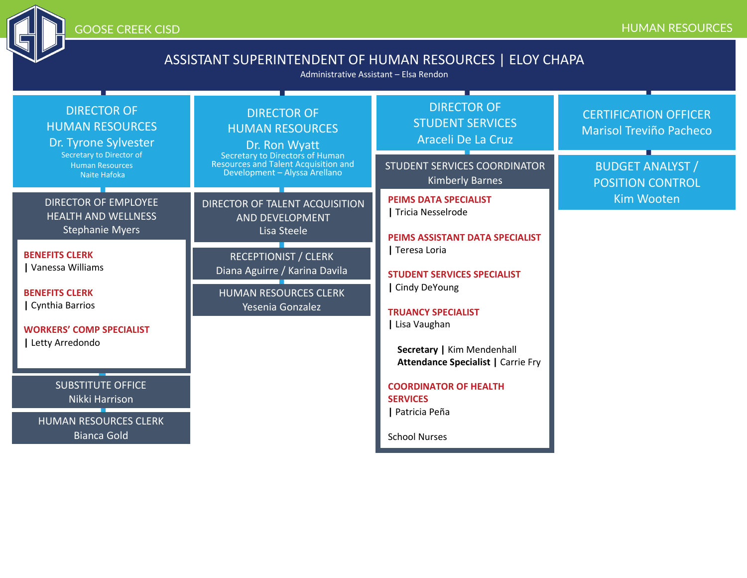

# ASSISTANT SUPERINTENDENT OF HUMAN RESOURCES | ELOY CHAPA

Administrative Assistant – Elsa Rendon

| <b>DIRECTOR OF</b><br><b>HUMAN RESOURCES</b><br>Dr. Tyrone Sylvester | <b>DIRECTOR OF</b><br><b>HUMAN RESOURCES</b><br>Dr. Ron Wyatt<br>Secretary to Director of<br>Secretary to Directors of Human<br>Resources and Talent Acquisition and<br>Development - Alyssa Arellano | <b>DIRECTOR OF</b><br><b>STUDENT SERVICES</b><br>Araceli De La Cruz                              | <b>CERTIFICATION OFFICER</b><br><b>Marisol Treviño Pacheco</b> |
|----------------------------------------------------------------------|-------------------------------------------------------------------------------------------------------------------------------------------------------------------------------------------------------|--------------------------------------------------------------------------------------------------|----------------------------------------------------------------|
| <b>Human Resources</b><br>Naite Hafoka                               |                                                                                                                                                                                                       | <b>STUDENT SERVICES COORDINATOR</b><br><b>Kimberly Barnes</b>                                    | <b>BUDGET ANALYST /</b><br><b>POSITION CONTROL</b>             |
| <b>DIRECTOR OF EMPLOYEE</b><br><b>HEALTH AND WELLNESS</b>            | <b>DIRECTOR OF TALENT ACQUISITION</b><br>AND DEVELOPMENT<br>Lisa Steele                                                                                                                               | <b>PEIMS DATA SPECIALIST</b><br>Tricia Nesselrode                                                | <b>Kim Wooten</b>                                              |
| <b>Stephanie Myers</b>                                               |                                                                                                                                                                                                       | PEIMS ASSISTANT DATA SPECIALIST                                                                  |                                                                |
| <b>BENEFITS CLERK</b><br>Vanessa Williams                            | <b>RECEPTIONIST / CLERK</b><br>Diana Aguirre / Karina Davila                                                                                                                                          | Teresa Loria<br><b>STUDENT SERVICES SPECIALIST</b><br>Cindy DeYoung<br><b>TRUANCY SPECIALIST</b> |                                                                |
| <b>BENEFITS CLERK</b><br>  Cynthia Barrios                           | <b>HUMAN RESOURCES CLERK</b><br>Yesenia Gonzalez                                                                                                                                                      |                                                                                                  |                                                                |
| <b>WORKERS' COMP SPECIALIST</b>                                      |                                                                                                                                                                                                       | Lisa Vaughan                                                                                     |                                                                |
| Letty Arredondo                                                      |                                                                                                                                                                                                       | Secretary   Kim Mendenhall<br><b>Attendance Specialist   Carrie Fry</b>                          |                                                                |
| <b>SUBSTITUTE OFFICE</b><br>Nikki Harrison                           |                                                                                                                                                                                                       | <b>COORDINATOR OF HEALTH</b><br><b>SERVICES</b>                                                  |                                                                |
| <b>HUMAN RESOURCES CLERK</b><br><b>Bianca Gold</b>                   |                                                                                                                                                                                                       | Patricia Peña<br><b>School Nurses</b>                                                            |                                                                |
|                                                                      |                                                                                                                                                                                                       |                                                                                                  |                                                                |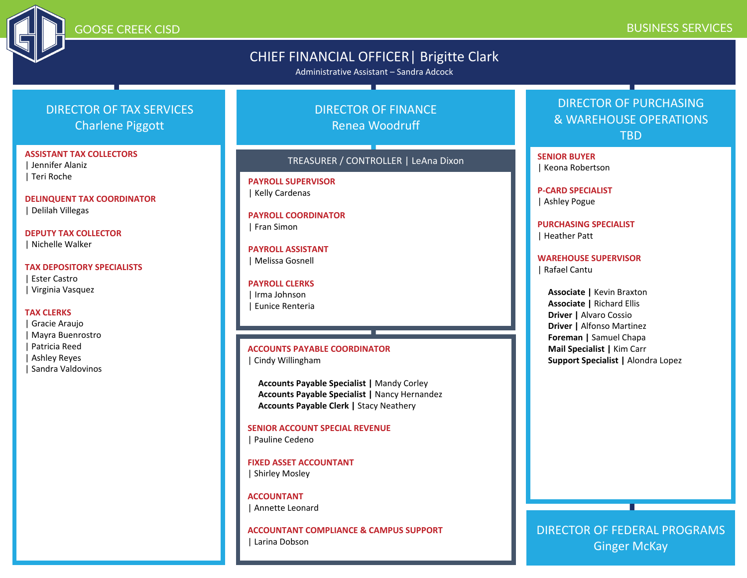

### GOOSE CREEK CISD BUSINESS SERVICES

## CHIEF FINANCIAL OFFICER| Brigitte Clark

Administrative Assistant – Sandra Adcock

## DIRECTOR OF TAX SERVICES Charlene Piggott

### **ASSISTANT TAX COLLECTORS**

| Jennifer Alaniz | Teri Roche

**DELINQUENT TAX COORDINATOR** | Delilah Villegas

**DEPUTY TAX COLLECTOR** | Nichelle Walker

**TAX DEPOSITORY SPECIALISTS**

| Ester Castro | Virginia Vasquez

#### **TAX CLERKS**

| Gracie Araujo | Mayra Buenrostro | Patricia Reed | Ashley Reyes | Sandra Valdovinos

## DIRECTOR OF FINANCE Renea Woodruff

#### TREASURER / CONTROLLER | LeAna Dixon

**PAYROLL SUPERVISOR** | Kelly Cardenas

#### **PAYROLL COORDINATOR** | Fran Simon

**PAYROLL ASSISTANT** | Melissa Gosnell

**PAYROLL CLERKS** | Irma Johnson | Eunice Renteria

#### **ACCOUNTS PAYABLE COORDINATOR** | Cindy Willingham

**Accounts Payable Specialist |** Mandy Corley **Accounts Payable Specialist |** Nancy Hernandez **Accounts Payable Clerk |** Stacy Neathery

**SENIOR ACCOUNT SPECIAL REVENUE** | Pauline Cedeno

**FIXED ASSET ACCOUNTANT** | Shirley Mosley

**ACCOUNTANT** | Annette Leonard

**ACCOUNTANT COMPLIANCE & CAMPUS SUPPORT** | Larina Dobson

## DIRECTOR OF PURCHASING & WAREHOUSE OPERATIONS TBD

**SENIOR BUYER** | Keona Robertson

**P-CARD SPECIALIST**

| Ashley Pogue

**PURCHASING SPECIALIST** | Heather Patt

#### **WAREHOUSE SUPERVISOR**

| Rafael Cantu

**Associate |** Kevin Braxton **Associate |** Richard Ellis **Driver |** Alvaro Cossio **Driver |** Alfonso Martinez **Foreman |** Samuel Chapa **Mail Specialist |** Kim Carr **Support Specialist |** Alondra Lopez

DIRECTOR OF FEDERAL PROGRAMS Ginger McKay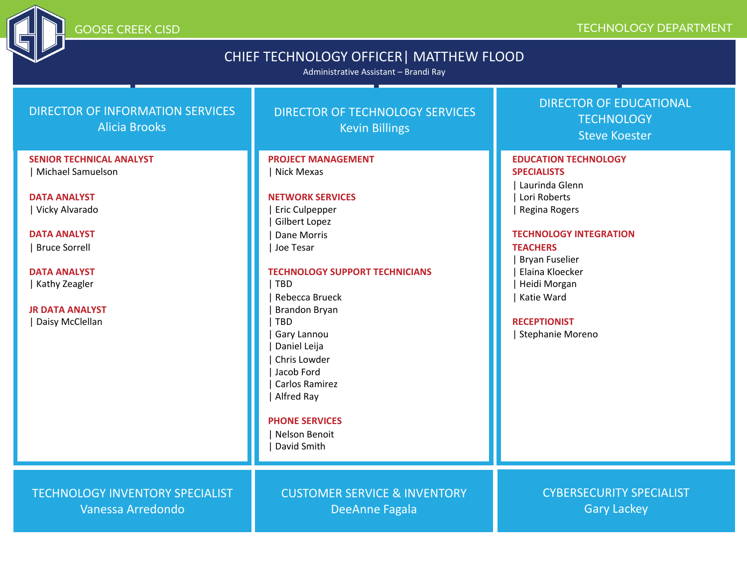# CHIEF TECHNOLOGY OFFICER| MATTHEW FLOOD

Administrative Assistant – Brandi Ray

| <b>DIRECTOR OF INFORMATION SERVICES</b><br><b>Alicia Brooks</b>                                                                                                                                                                       | DIRECTOR OF TECHNOLOGY SERVICES<br><b>Kevin Billings</b>                                                                                                                                                                                                                                                                                                                                                             | <b>DIRECTOR OF EDUCATIONAL</b><br><b>TECHNOLOGY</b><br><b>Steve Koester</b>                                                                                                                                                                                                   |
|---------------------------------------------------------------------------------------------------------------------------------------------------------------------------------------------------------------------------------------|----------------------------------------------------------------------------------------------------------------------------------------------------------------------------------------------------------------------------------------------------------------------------------------------------------------------------------------------------------------------------------------------------------------------|-------------------------------------------------------------------------------------------------------------------------------------------------------------------------------------------------------------------------------------------------------------------------------|
| <b>SENIOR TECHNICAL ANALYST</b><br>Michael Samuelson<br><b>DATA ANALYST</b><br>  Vicky Alvarado<br><b>DATA ANALYST</b><br><b>Bruce Sorrell</b><br><b>DATA ANALYST</b><br>  Kathy Zeagler<br><b>JR DATA ANALYST</b><br>Daisy McClellan | <b>PROJECT MANAGEMENT</b><br>Nick Mexas<br><b>NETWORK SERVICES</b><br><b>Eric Culpepper</b><br><b>Gilbert Lopez</b><br>Dane Morris<br>Joe Tesar<br><b>TECHNOLOGY SUPPORT TECHNICIANS</b><br><b>TBD</b><br>Rebecca Brueck<br><b>Brandon Bryan</b><br><b>TBD</b><br>Gary Lannou<br>Daniel Leija<br>Chris Lowder<br>Jacob Ford<br>Carlos Ramirez<br>Alfred Ray<br><b>PHONE SERVICES</b><br>Nelson Benoit<br>David Smith | <b>EDUCATION TECHNOLOGY</b><br><b>SPECIALISTS</b><br>Laurinda Glenn<br>Lori Roberts<br>Regina Rogers<br><b>TECHNOLOGY INTEGRATION</b><br><b>TEACHERS</b><br><b>Bryan Fuselier</b><br>Elaina Kloecker<br>Heidi Morgan<br>Katie Ward<br><b>RECEPTIONIST</b><br>Stephanie Moreno |
| <b>TECHNOLOGY INVENTORY SPECIALIST</b><br>Vanessa Arredondo                                                                                                                                                                           | <b>CUSTOMER SERVICE &amp; INVENTORY</b><br><b>DeeAnne Fagala</b>                                                                                                                                                                                                                                                                                                                                                     | <b>CYBERSECURITY SPECIALIST</b><br><b>Gary Lackey</b>                                                                                                                                                                                                                         |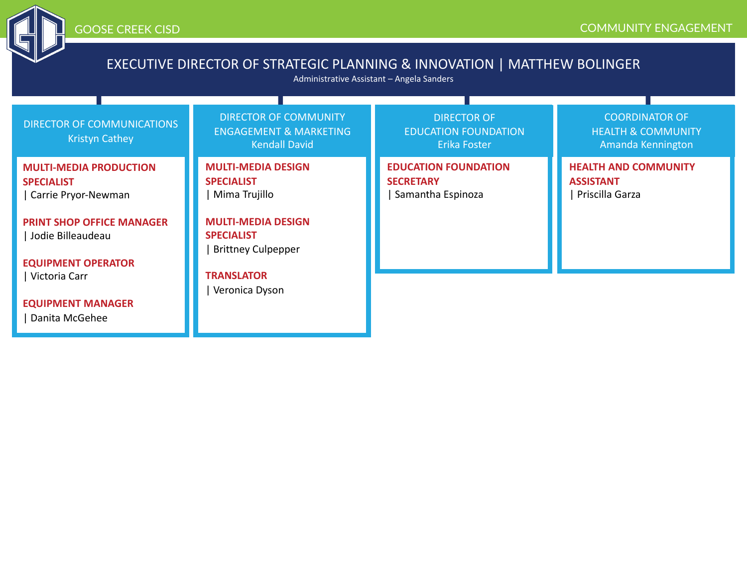

# EXECUTIVE DIRECTOR OF STRATEGIC PLANNING & INNOVATION | MATTHEW BOLINGER

Administrative Assistant – Angela Sanders

| DIRECTOR OF COMMUNICATIONS<br><b>Kristyn Cathey</b>                                                                                                             | <b>DIRECTOR OF COMMUNITY</b><br><b>ENGAGEMENT &amp; MARKETING</b><br><b>Kendall David</b>                                                      | <b>DIRECTOR OF</b><br><b>EDUCATION FOUNDATION</b><br>Erika Foster    | <b>COORDINATOR OF</b><br><b>HEALTH &amp; COMMUNITY</b><br>Amanda Kennington |
|-----------------------------------------------------------------------------------------------------------------------------------------------------------------|------------------------------------------------------------------------------------------------------------------------------------------------|----------------------------------------------------------------------|-----------------------------------------------------------------------------|
| <b>MULTI-MEDIA PRODUCTION</b><br><b>SPECIALIST</b><br>Carrie Pryor-Newman<br><b>PRINT SHOP OFFICE MANAGER</b><br>Jodie Billeaudeau<br><b>EQUIPMENT OPERATOR</b> | <b>MULTI-MEDIA DESIGN</b><br><b>SPECIALIST</b><br>Mima Trujillo<br><b>MULTI-MEDIA DESIGN</b><br><b>SPECIALIST</b><br><b>Brittney Culpepper</b> | <b>EDUCATION FOUNDATION</b><br><b>SECRETARY</b><br>Samantha Espinoza | <b>HEALTH AND COMMUNITY</b><br><b>ASSISTANT</b><br>Priscilla Garza          |
| Victoria Carr<br><b>EQUIPMENT MANAGER</b><br>Danita McGehee                                                                                                     | <b>TRANSLATOR</b><br>Veronica Dyson                                                                                                            |                                                                      |                                                                             |